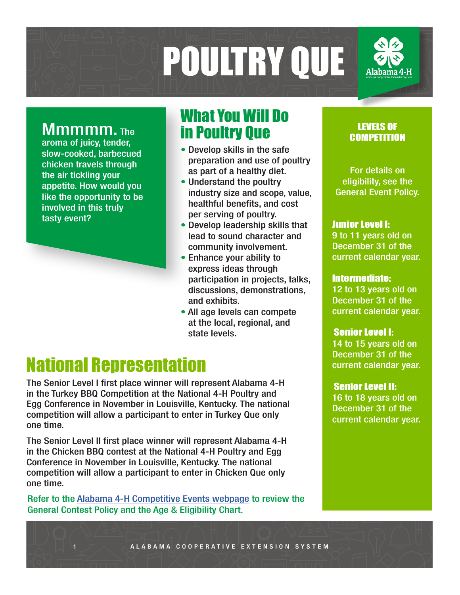

aroma of juicy, tender, slow-cooked, barbecued chicken travels through the air tickling your appetite. How would you like the opportunity to be involved in this truly tasty event?

## What You Will Do Mmmmm. The The The Poultry Que

- Develop skills in the safe preparation and use of poultry as part of a healthy diet.
- Understand the poultry industry size and scope, value, healthful benefits, and cost per serving of poultry.
- Develop leadership skills that lead to sound character and community involvement.
- Enhance your ability to express ideas through participation in projects, talks, discussions, demonstrations, and exhibits.
- All age levels can compete at the local, regional, and state levels.

# National Representation

The Senior Level I first place winner will represent Alabama 4-H in the Turkey BBQ Competition at the National 4-H Poultry and Egg Conference in November in Louisville, Kentucky. The national competition will allow a participant to enter in Turkey Que only one time.

The Senior Level II first place winner will represent Alabama 4-H in the Chicken BBQ contest at the National 4-H Poultry and Egg Conference in November in Louisville, Kentucky. The national competition will allow a participant to enter in Chicken Que only one time.

Refer to the Alabama 4-H Competitive Events webpage to review the General Contest Policy and the Age & Eligibility Chart.

#### LEVELS OF **COMPETITION**

For details on eligibility, see the General Event Policy.

#### Junior Level I:

9 to 11 years old on December 31 of the current calendar year.

#### Intermediate:

12 to 13 years old on December 31 of the current calendar year.

#### Senior Level I:

14 to 15 years old on December 31 of the current calendar year.

#### Senior Level II:

16 to 18 years old on December 31 of the current calendar year.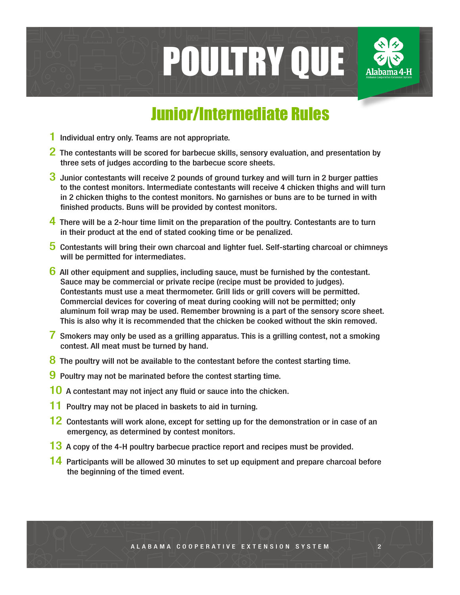

# Junior/Intermediate Rules

- 1 Individual entry only. Teams are not appropriate.
- $2$  The contestants will be scored for barbecue skills, sensory evaluation, and presentation by three sets of judges according to the barbecue score sheets.
- 3 Junior contestants will receive 2 pounds of ground turkey and will turn in 2 burger patties to the contest monitors. Intermediate contestants will receive 4 chicken thighs and will turn in 2 chicken thighs to the contest monitors. No garnishes or buns are to be turned in with finished products. Buns will be provided by contest monitors.
- 4 There will be a 2-hour time limit on the preparation of the poultry. Contestants are to turn in their product at the end of stated cooking time or be penalized.
- 5 Contestants will bring their own charcoal and lighter fuel. Self-starting charcoal or chimneys will be permitted for intermediates.
- 6 All other equipment and supplies, including sauce, must be furnished by the contestant. Sauce may be commercial or private recipe (recipe must be provided to judges). Contestants must use a meat thermometer. Grill lids or grill covers will be permitted. Commercial devices for covering of meat during cooking will not be permitted; only aluminum foil wrap may be used. Remember browning is a part of the sensory score sheet. This is also why it is recommended that the chicken be cooked without the skin removed.
- 7 Smokers may only be used as a grilling apparatus. This is a grilling contest, not a smoking contest. All meat must be turned by hand.
- 8 The poultry will not be available to the contestant before the contest starting time.
- 9 Poultry may not be marinated before the contest starting time.
- 10 A contestant may not inject any fluid or sauce into the chicken.
- 11 Poultry may not be placed in baskets to aid in turning.
- 12 Contestants will work alone, except for setting up for the demonstration or in case of an emergency, as determined by contest monitors.
- 13 A copy of the 4-H poultry barbecue practice report and recipes must be provided.
- 14 Participants will be allowed 30 minutes to set up equipment and prepare charcoal before the beginning of the timed event.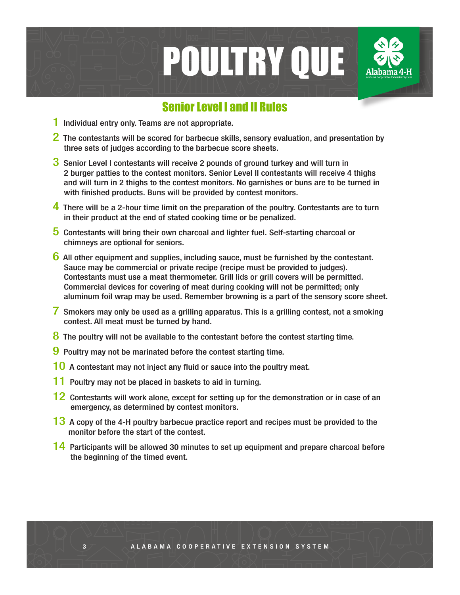

#### Senior Level I and II Rules

- 1 Individual entry only. Teams are not appropriate.
- 2 The contestants will be scored for barbecue skills, sensory evaluation, and presentation by three sets of judges according to the barbecue score sheets.
- 3 Senior Level I contestants will receive 2 pounds of ground turkey and will turn in 2 burger patties to the contest monitors. Senior Level II contestants will receive 4 thighs and will turn in 2 thighs to the contest monitors. No garnishes or buns are to be turned in with finished products. Buns will be provided by contest monitors.
- 4 There will be a 2-hour time limit on the preparation of the poultry. Contestants are to turn in their product at the end of stated cooking time or be penalized.
- 5 Contestants will bring their own charcoal and lighter fuel. Self-starting charcoal or chimneys are optional for seniors.
- $6$  All other equipment and supplies, including sauce, must be furnished by the contestant. Sauce may be commercial or private recipe (recipe must be provided to judges). Contestants must use a meat thermometer. Grill lids or grill covers will be permitted. Commercial devices for covering of meat during cooking will not be permitted; only aluminum foil wrap may be used. Remember browning is a part of the sensory score sheet.
- 7 Smokers may only be used as a grilling apparatus. This is a grilling contest, not a smoking contest. All meat must be turned by hand.
- 8 The poultry will not be available to the contestant before the contest starting time.
- 9 Poultry may not be marinated before the contest starting time.
- 10 A contestant may not inject any fluid or sauce into the poultry meat.
- 11 Poultry may not be placed in baskets to aid in turning.
- 12 Contestants will work alone, except for setting up for the demonstration or in case of an emergency, as determined by contest monitors.
- 13 A copy of the 4-H poultry barbecue practice report and recipes must be provided to the monitor before the start of the contest.
- 14 Participants will be allowed 30 minutes to set up equipment and prepare charcoal before the beginning of the timed event.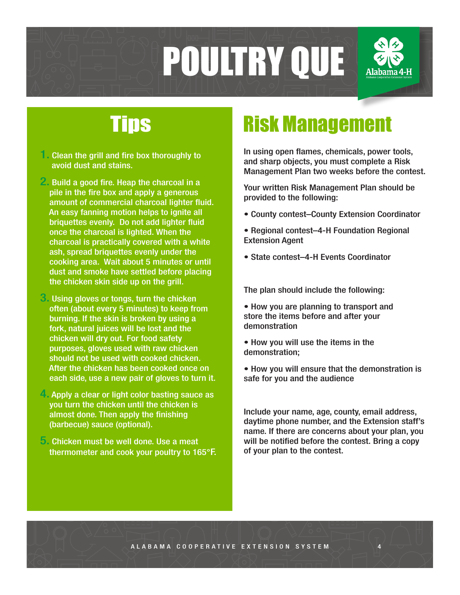

- **1. Clean the grill and fire box thoroughly to** avoid dust and stains.
- 2. Build a good fire. Heap the charcoal in a pile in the fire box and apply a generous amount of commercial charcoal lighter fluid. An easy fanning motion helps to ignite all briquettes evenly. Do not add lighter fluid once the charcoal is lighted. When the charcoal is practically covered with a white ash, spread briquettes evenly under the cooking area. Wait about 5 minutes or until dust and smoke have settled before placing the chicken skin side up on the grill.
- **3.** Using gloves or tongs, turn the chicken often (about every 5 minutes) to keep from burning. If the skin is broken by using a fork, natural juices will be lost and the chicken will dry out. For food safety purposes, gloves used with raw chicken should not be used with cooked chicken. After the chicken has been cooked once on each side, use a new pair of gloves to turn it.
- 4. Apply a clear or light color basting sauce as you turn the chicken until the chicken is almost done. Then apply the finishing (barbecue) sauce (optional).
- 5. Chicken must be well done. Use a meat thermometer and cook your poultry to 165°F.

# Tips Risk Management

In using open flames, chemicals, power tools, and sharp objects, you must complete a Risk Management Plan two weeks before the contest.

Your written Risk Management Plan should be provided to the following:

- County contest–County Extension Coordinator
- Regional contest–4-H Foundation Regional Extension Agent
- State contest–4-H Events Coordinator

The plan should include the following:

• How you are planning to transport and store the items before and after your demonstration

- How you will use the items in the demonstration;
- How you will ensure that the demonstration is safe for you and the audience

Include your name, age, county, email address, daytime phone number, and the Extension staff's name. If there are concerns about your plan, you will be notified before the contest. Bring a copy of your plan to the contest.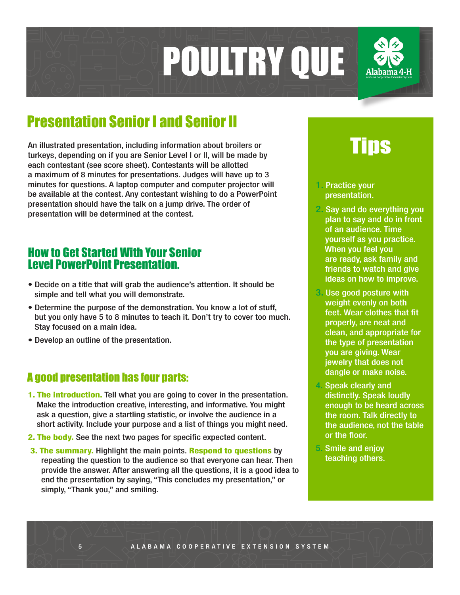

## Presentation Senior I and Senior II

An illustrated presentation, including information about broilers or turkeys, depending on if you are Senior Level I or II, will be made by each contestant (see score sheet). Contestants will be allotted a maximum of 8 minutes for presentations. Judges will have up to 3 minutes for questions. A laptop computer and computer projector will be available at the contest. Any contestant wishing to do a PowerPoint presentation should have the talk on a jump drive. The order of presentation will be determined at the contest.

#### How to Get Started With Your Senior Level PowerPoint Presentation.

- Decide on a title that will grab the audience's attention. It should be simple and tell what you will demonstrate.
- Determine the purpose of the demonstration. You know a lot of stuff, but you only have 5 to 8 minutes to teach it. Don't try to cover too much. Stay focused on a main idea.
- Develop an outline of the presentation.

#### A good presentation has four parts:

- **1. The introduction.** Tell what you are going to cover in the presentation. Make the introduction creative, interesting, and informative. You might ask a question, give a startling statistic, or involve the audience in a short activity. Include your purpose and a list of things you might need.
- 2. The body. See the next two pages for specific expected content.
- 3. The summary. Highlight the main points. Respond to questions by repeating the question to the audience so that everyone can hear. Then provide the answer. After answering all the questions, it is a good idea to end the presentation by saying, "This concludes my presentation," or simply, "Thank you," and smiling.

# Tips

- 1. Practice your presentation.
- 2. Say and do everything you plan to say and do in front of an audience. Time yourself as you practice. When you feel you are ready, ask family and friends to watch and give ideas on how to improve.
- 3. Use good posture with weight evenly on both feet. Wear clothes that fit properly, are neat and clean, and appropriate for the type of presentation you are giving. Wear jewelry that does not dangle or make noise.
- 4. Speak clearly and distinctly. Speak loudly enough to be heard across the room. Talk directly to the audience, not the table or the floor.
- 5. Smile and enjoy teaching others.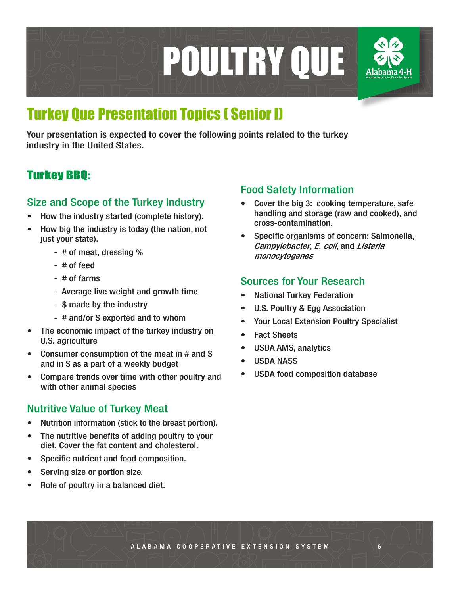

# Turkey Que Presentation Topics ( Senior I)

Your presentation is expected to cover the following points related to the turkey industry in the United States.

### Turkey BBQ:

#### Size and Scope of the Turkey Industry

- How the industry started (complete history).
- How big the industry is today (the nation, not just your state).
	- # of meat, dressing %
	- # of feed
	- # of farms
	- Average live weight and growth time
	- \$ made by the industry
	- # and/or \$ exported and to whom
- The economic impact of the turkey industry on U.S. agriculture
- Consumer consumption of the meat in # and \$ and in \$ as a part of a weekly budget
- Compare trends over time with other poultry and with other animal species

#### Nutritive Value of Turkey Meat

- Nutrition information (stick to the breast portion).
- The nutritive benefits of adding poultry to your diet. Cover the fat content and cholesterol.
- Specific nutrient and food composition.
- Serving size or portion size.
- Role of poultry in a balanced diet.

#### Food Safety Information

- Cover the big 3: cooking temperature, safe handling and storage (raw and cooked), and cross-contamination.
- Specific organisms of concern: Salmonella, Campylobacter, E. coli, and Listeria monocytogenes

#### Sources for Your Research

- National Turkey Federation
- U.S. Poultry & Egg Association
- Your Local Extension Poultry Specialist
- Fact Sheets
- USDA AMS, analytics
- USDA NASS
- USDA food composition database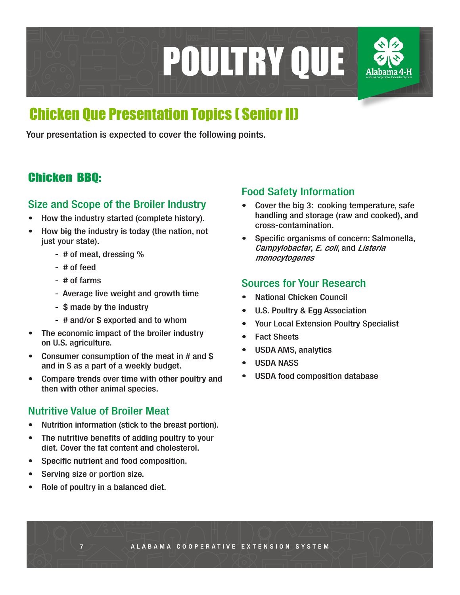

## Chicken Que Presentation Topics ( Senior II)

Your presentation is expected to cover the following points.

### Chicken BBQ:

#### Size and Scope of the Broiler Industry

- How the industry started (complete history).
- How big the industry is today (the nation, not just your state).
	- # of meat, dressing %
	- # of feed
	- # of farms
	- Average live weight and growth time
	- \$ made by the industry
	- # and/or \$ exported and to whom
- The economic impact of the broiler industry on U.S. agriculture.
- Consumer consumption of the meat in # and \$ and in \$ as a part of a weekly budget.
- Compare trends over time with other poultry and then with other animal species.

#### Nutritive Value of Broiler Meat

- Nutrition information (stick to the breast portion).
- The nutritive benefits of adding poultry to your diet. Cover the fat content and cholesterol.
- Specific nutrient and food composition.
- Serving size or portion size.
- Role of poultry in a balanced diet.

#### Food Safety Information

- Cover the big 3: cooking temperature, safe handling and storage (raw and cooked), and cross-contamination.
- Specific organisms of concern: Salmonella, Campylobacter, E. coli, and Listeria monocytogenes

#### Sources for Your Research

- National Chicken Council
- U.S. Poultry & Egg Association
- Your Local Extension Poultry Specialist
- Fact Sheets
- USDA AMS, analytics
- USDA NASS
- USDA food composition database